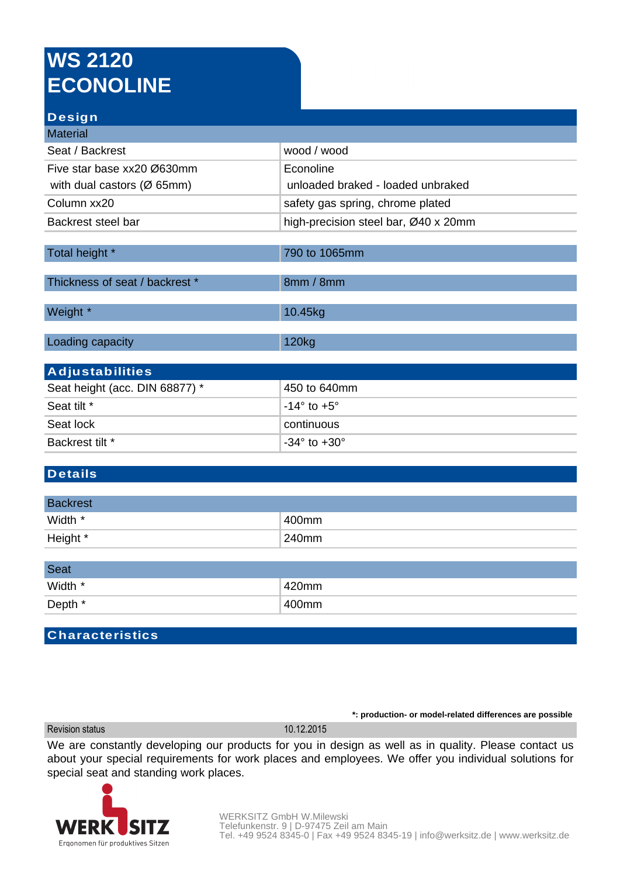## **WS 2120 ECONOLINE**

# **Design**

| Material                                |                                      |
|-----------------------------------------|--------------------------------------|
| Seat / Backrest                         | wood / wood                          |
| Five star base xx20 Ø630mm              | Econoline                            |
| with dual castors ( $\varnothing$ 65mm) | unloaded braked - loaded unbraked    |
| Column xx20                             | safety gas spring, chrome plated     |
| Backrest steel bar                      | high-precision steel bar, Ø40 x 20mm |
|                                         |                                      |
| Total height *                          | 790 to 1065mm                        |
|                                         |                                      |
| Thickness of seat / backrest *          | 8mm / 8mm                            |
|                                         |                                      |
| Weight *                                | 10.45kg                              |
|                                         |                                      |
| Loading capacity                        | 120 <sub>kg</sub>                    |
|                                         |                                      |
| <b>Adjustabilities</b>                  |                                      |
|                                         |                                      |

| Seat height (acc. DIN 68877) * | 450 to 640mm                   |
|--------------------------------|--------------------------------|
| Seat tilt *                    | ⊺-14° to +5° .                 |
| Seat lock                      | ∣ continuous                   |
| Backrest tilt *                | $-34^{\circ}$ to $+30^{\circ}$ |

### **Details**

| <b>Backrest</b> |       |
|-----------------|-------|
| Width *         | 400mm |
| Height *        | 240mm |

| Seat    |           |
|---------|-----------|
| Width * | 420mm     |
| Depth * | $1400$ mm |

#### **Characteristics**

Revision status 10.12.2015

We are constantly developing our products for you in design as well as in quality. Please contact us about your special requirements for work places and employees. We offer you individual solutions for special seat and standing work places.



**\*: production- or model-related differences are possible**